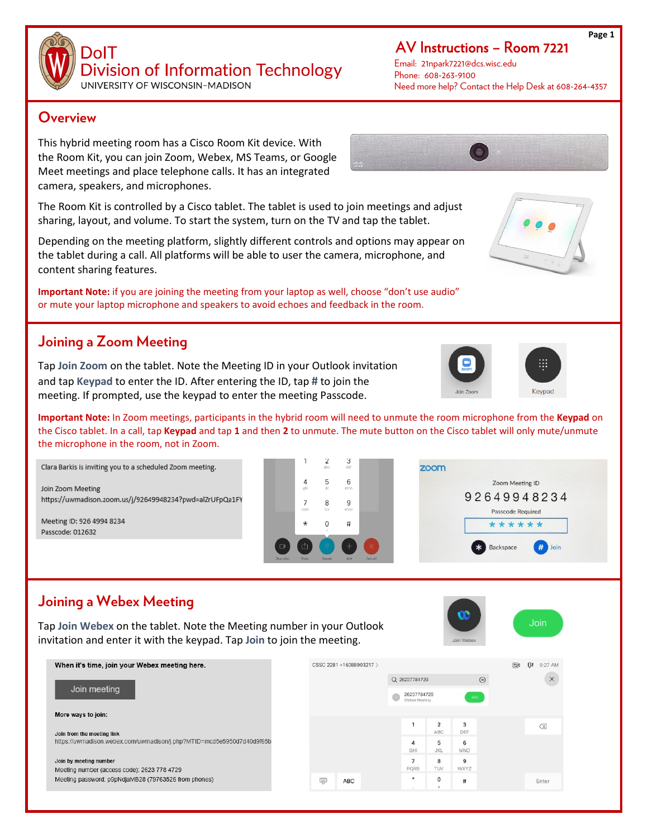**DolT Division of Information Technology** 

UNIVERSITY OF WISCONSIN-MADISON

#### **Overview**

This hybrid meeting room has a Cisco Room Kit device. With the Room Kit, you can join Zoom, Webex, MS Teams, or Google Meet meetings and place telephone calls. It has an integrated camera, speakers, and microphones.

The Room Kit is controlled by a Cisco tablet. The tablet is used to join meetings and adjust sharing, layout, and volume. To start the system, turn on the TV and tap the tablet.

Depending on the meeting platform, slightly different controls and options may appear on the tablet during a call. All platforms will be able to user the camera, microphone, and content sharing features.

**Important Note:** if you are joining the meeting from your laptop as well, choose "don't use audio" or mute your laptop microphone and speakers to avoid echoes and feedback in the room.

### **Joining a Zoom Meeting**

Tap **Join Zoom** on the tablet. Note the Meeting ID in your Outlook invitation and tap **Keypad** to enter the ID. After entering the ID, tap **#** to join the meeting. If prompted, use the keypad to enter the meeting Passcode.

**Important Note:** In Zoom meetings, participants in the hybrid room will need to unmute the room microphone from the **Keypad** on the Cisco tablet. In a call, tap **Keypad** and tap **1** and then **2** to unmute. The mute button on the Cisco tablet will only mute/unmute the microphone in the room, not in Zoom.

5

8

 $\Omega$ 

 $\overline{a}$ 

3

6

9

 $#$ 

Join Zoom Meeting https://uwmadison.zoom.us/j/92649948234?pwd=alZrUFpQa1FY

Clara Barkis is inviting you to a scheduled Zoom meeting.

Meeting ID: 926 4994 8234 Passcode: 012632

## **Joining a Webex Meeting**

Tap **Join Webex** on the tablet. Note the Meeting number in your Outlook invitation and enter it with the keypad. Tap **Join** to join the meeting.

| When it's time, join your Webex meeting here.                                                       | CSSC 2281 +16088903217 > |                                       |                       |                  | 日<br>O#<br>9:27 AM |
|-----------------------------------------------------------------------------------------------------|--------------------------|---------------------------------------|-----------------------|------------------|--------------------|
| Join meeting                                                                                        |                          | Q 26237784729                         |                       | $\circledR$      | $\times$           |
|                                                                                                     |                          | 26237784729<br>Join.<br>Webex Meeting |                       |                  |                    |
| More ways to join:                                                                                  |                          |                                       |                       |                  |                    |
| Join from the meeting link<br>https://uwmadison.webex.com/uwmadison/j.php?MTID=mcd5e5950d7d40d9f65b |                          |                                       | $\overline{2}$<br>ABC | 3<br>DEF         | $\oslash$          |
|                                                                                                     |                          | 4<br>GHI                              | 5<br><b>JKL</b>       | 6<br><b>MNO</b>  |                    |
| Join by meeting number<br>Meeting number (access code): 2623 778 4729                               |                          | ۰<br>PORS                             | 8<br>TUV              | 9<br><b>WXYZ</b> |                    |
| Meeting password: p9pNdjaMB28 (79763526 from phones)                                                | --<br><b>ABC</b><br>پ    | ٠                                     | $\mathsf{o}\,$        | #                | Enter              |



Email: 21npark7221@dcs.wisc.edu Phone: 608-263-9100 Need more help? Contact the Help Desk at 608-264-4357





Join